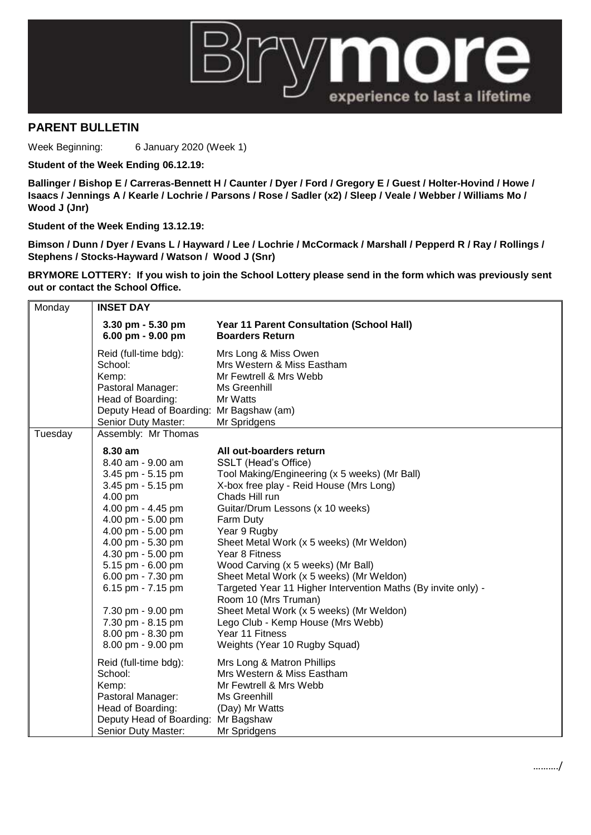

## **PARENT BULLETIN**

Week Beginning: 6 January 2020 (Week 1)

**Student of the Week Ending 06.12.19:**

**Ballinger / Bishop E / Carreras-Bennett H / Caunter / Dyer / Ford / Gregory E / Guest / Holter-Hovind / Howe / Isaacs / Jennings A / Kearle / Lochrie / Parsons / Rose / Sadler (x2) / Sleep / Veale / Webber / Williams Mo / Wood J (Jnr)**

**Student of the Week Ending 13.12.19:**

**Bimson / Dunn / Dyer / Evans L / Hayward / Lee / Lochrie / McCormack / Marshall / Pepperd R / Ray / Rollings / Stephens / Stocks-Hayward / Watson / Wood J (Snr)**

**BRYMORE LOTTERY: If you wish to join the School Lottery please send in the form which was previously sent out or contact the School Office.**

| Monday  | <b>INSET DAY</b>                                                                                                                                                                                                                                                                                                                                                       |                                                                                                                                                                                                                                                                                                                                                                                                                                                                                                                                                                                                                                            |
|---------|------------------------------------------------------------------------------------------------------------------------------------------------------------------------------------------------------------------------------------------------------------------------------------------------------------------------------------------------------------------------|--------------------------------------------------------------------------------------------------------------------------------------------------------------------------------------------------------------------------------------------------------------------------------------------------------------------------------------------------------------------------------------------------------------------------------------------------------------------------------------------------------------------------------------------------------------------------------------------------------------------------------------------|
|         | $3.30$ pm $-5.30$ pm<br>6.00 pm - 9.00 pm                                                                                                                                                                                                                                                                                                                              | <b>Year 11 Parent Consultation (School Hall)</b><br><b>Boarders Return</b>                                                                                                                                                                                                                                                                                                                                                                                                                                                                                                                                                                 |
|         | Reid (full-time bdg):<br>School:<br>Kemp:<br>Pastoral Manager:<br>Head of Boarding:<br>Deputy Head of Boarding: Mr Bagshaw (am)<br>Senior Duty Master:                                                                                                                                                                                                                 | Mrs Long & Miss Owen<br>Mrs Western & Miss Eastham<br>Mr Fewtrell & Mrs Webb<br>Ms Greenhill<br>Mr Watts<br>Mr Spridgens                                                                                                                                                                                                                                                                                                                                                                                                                                                                                                                   |
| Tuesday | Assembly: Mr Thomas                                                                                                                                                                                                                                                                                                                                                    |                                                                                                                                                                                                                                                                                                                                                                                                                                                                                                                                                                                                                                            |
|         | 8.30 am<br>8.40 am - 9.00 am<br>3.45 pm - 5.15 pm<br>3.45 pm - 5.15 pm<br>4.00 pm<br>4.00 pm - 4.45 pm<br>4.00 pm - 5.00 pm<br>4.00 pm - 5.00 pm<br>4.00 pm - 5.30 pm<br>4.30 pm - 5.00 pm<br>5.15 pm - 6.00 pm<br>6.00 pm - 7.30 pm<br>6.15 pm - 7.15 pm<br>7.30 pm - 9.00 pm<br>7.30 pm - 8.15 pm<br>8.00 pm - 8.30 pm<br>8.00 pm - 9.00 pm<br>Reid (full-time bdg): | All out-boarders return<br>SSLT (Head's Office)<br>Tool Making/Engineering (x 5 weeks) (Mr Ball)<br>X-box free play - Reid House (Mrs Long)<br>Chads Hill run<br>Guitar/Drum Lessons (x 10 weeks)<br>Farm Duty<br>Year 9 Rugby<br>Sheet Metal Work (x 5 weeks) (Mr Weldon)<br>Year 8 Fitness<br>Wood Carving (x 5 weeks) (Mr Ball)<br>Sheet Metal Work (x 5 weeks) (Mr Weldon)<br>Targeted Year 11 Higher Intervention Maths (By invite only) -<br>Room 10 (Mrs Truman)<br>Sheet Metal Work (x 5 weeks) (Mr Weldon)<br>Lego Club - Kemp House (Mrs Webb)<br>Year 11 Fitness<br>Weights (Year 10 Rugby Squad)<br>Mrs Long & Matron Phillips |
|         | School:<br>Kemp:<br>Pastoral Manager:<br>Head of Boarding:<br>Deputy Head of Boarding:<br>Senior Duty Master:                                                                                                                                                                                                                                                          | Mrs Western & Miss Eastham<br>Mr Fewtrell & Mrs Webb<br>Ms Greenhill<br>(Day) Mr Watts<br>Mr Bagshaw<br>Mr Spridgens                                                                                                                                                                                                                                                                                                                                                                                                                                                                                                                       |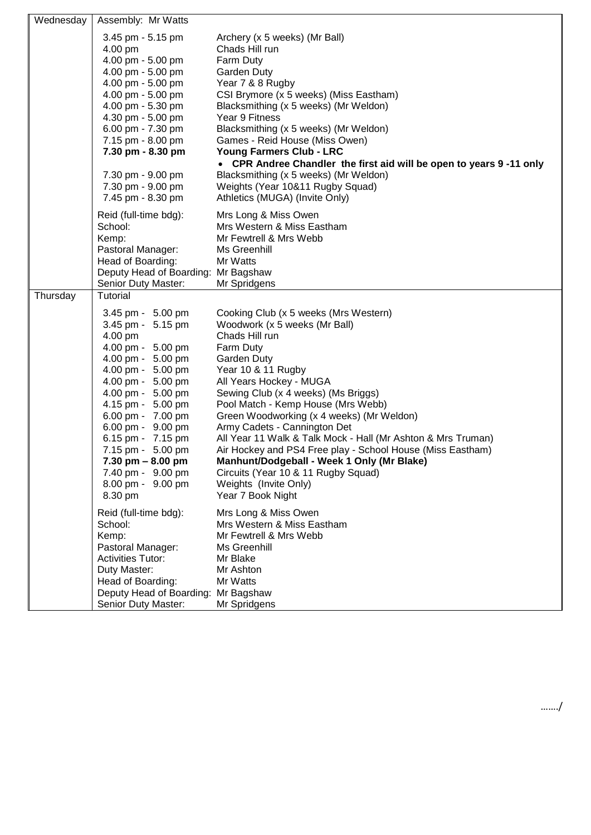| Wednesday | Assembly: Mr Watts                                                                                                                                                                                                                                                                                                                            |                                                                                                                                                                                                                                                                                                                                                                                                                                                                                                                                                                                                         |
|-----------|-----------------------------------------------------------------------------------------------------------------------------------------------------------------------------------------------------------------------------------------------------------------------------------------------------------------------------------------------|---------------------------------------------------------------------------------------------------------------------------------------------------------------------------------------------------------------------------------------------------------------------------------------------------------------------------------------------------------------------------------------------------------------------------------------------------------------------------------------------------------------------------------------------------------------------------------------------------------|
|           | 3.45 pm - 5.15 pm<br>4.00 pm<br>4.00 pm - 5.00 pm<br>4.00 pm - 5.00 pm<br>4.00 pm - 5.00 pm<br>4.00 pm - 5.00 pm<br>4.00 pm - 5.30 pm<br>4.30 pm - 5.00 pm<br>6.00 pm - 7.30 pm<br>7.15 pm - 8.00 pm<br>7.30 pm - 8.30 pm<br>7.30 pm - 9.00 pm<br>7.30 pm - 9.00 pm<br>7.45 pm - 8.30 pm                                                      | Archery (x 5 weeks) (Mr Ball)<br>Chads Hill run<br>Farm Duty<br><b>Garden Duty</b><br>Year 7 & 8 Rugby<br>CSI Brymore (x 5 weeks) (Miss Eastham)<br>Blacksmithing (x 5 weeks) (Mr Weldon)<br>Year 9 Fitness<br>Blacksmithing (x 5 weeks) (Mr Weldon)<br>Games - Reid House (Miss Owen)<br>Young Farmers Club - LRC<br>• CPR Andree Chandler the first aid will be open to years 9-11 only<br>Blacksmithing (x 5 weeks) (Mr Weldon)<br>Weights (Year 10&11 Rugby Squad)<br>Athletics (MUGA) (Invite Only)                                                                                                |
| Thursday  | Reid (full-time bdg):<br>School:<br>Kemp:<br>Pastoral Manager:<br>Head of Boarding:<br>Deputy Head of Boarding: Mr Bagshaw<br>Senior Duty Master:<br>Tutorial                                                                                                                                                                                 | Mrs Long & Miss Owen<br>Mrs Western & Miss Eastham<br>Mr Fewtrell & Mrs Webb<br>Ms Greenhill<br>Mr Watts<br>Mr Spridgens                                                                                                                                                                                                                                                                                                                                                                                                                                                                                |
|           | 3.45 pm - 5.00 pm<br>3.45 pm - 5.15 pm<br>4.00 pm<br>4.00 pm - 5.00 pm<br>4.00 pm - 5.00 pm<br>4.00 pm - 5.00 pm<br>4.00 pm - 5.00 pm<br>4.00 pm - 5.00 pm<br>4.15 pm - 5.00 pm<br>6.00 pm - 7.00 pm<br>6.00 pm - 9.00 pm<br>6.15 pm - 7.15 pm<br>7.15 pm - 5.00 pm<br>7.30 pm – 8.00 pm<br>7.40 pm - 9.00 pm<br>8.00 pm - 9.00 pm<br>8.30 pm | Cooking Club (x 5 weeks (Mrs Western)<br>Woodwork (x 5 weeks (Mr Ball)<br>Chads Hill run<br>Farm Duty<br><b>Garden Duty</b><br>Year 10 & 11 Rugby<br>All Years Hockey - MUGA<br>Sewing Club (x 4 weeks) (Ms Briggs)<br>Pool Match - Kemp House (Mrs Webb)<br>Green Woodworking (x 4 weeks) (Mr Weldon)<br>Army Cadets - Cannington Det<br>All Year 11 Walk & Talk Mock - Hall (Mr Ashton & Mrs Truman)<br>Air Hockey and PS4 Free play - School House (Miss Eastham)<br>Manhunt/Dodgeball - Week 1 Only (Mr Blake)<br>Circuits (Year 10 & 11 Rugby Squad)<br>Weights (Invite Only)<br>Year 7 Book Night |
|           | Reid (full-time bdg):<br>School:<br>Kemp:<br>Pastoral Manager:<br><b>Activities Tutor:</b><br>Duty Master:<br>Head of Boarding:<br>Deputy Head of Boarding:<br>Senior Duty Master:                                                                                                                                                            | Mrs Long & Miss Owen<br>Mrs Western & Miss Eastham<br>Mr Fewtrell & Mrs Webb<br>Ms Greenhill<br>Mr Blake<br>Mr Ashton<br>Mr Watts<br>Mr Bagshaw<br>Mr Spridgens                                                                                                                                                                                                                                                                                                                                                                                                                                         |

……./